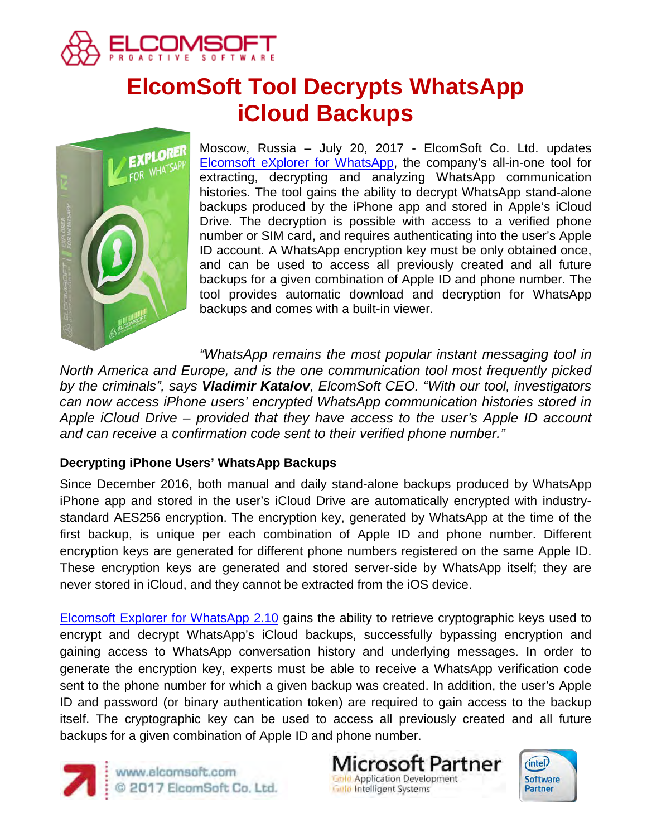

# **ElcomSoft Tool Decrypts WhatsApp iCloud Backups**



Moscow, Russia – July 20, 2017 - ElcomSoft Co. Ltd. updates [Elcomsoft eXplorer for WhatsApp,](https://www.elcomsoft.com/exwa.html) the company's all-in-one tool for extracting, decrypting and analyzing WhatsApp communication histories. The tool gains the ability to decrypt WhatsApp stand-alone backups produced by the iPhone app and stored in Apple's iCloud Drive. The decryption is possible with access to a verified phone number or SIM card, and requires authenticating into the user's Apple ID account. A WhatsApp encryption key must be only obtained once, and can be used to access all previously created and all future backups for a given combination of Apple ID and phone number. The tool provides automatic download and decryption for WhatsApp backups and comes with a built-in viewer.

*"WhatsApp remains the most popular instant messaging tool in North America and Europe, and is the one communication tool most frequently picked by the criminals", says Vladimir Katalov, ElcomSoft CEO. "With our tool, investigators can now access iPhone users' encrypted WhatsApp communication histories stored in Apple iCloud Drive – provided that they have access to the user's Apple ID account and can receive a confirmation code sent to their verified phone number."*

# **Decrypting iPhone Users' WhatsApp Backups**

Since December 2016, both manual and daily stand-alone backups produced by WhatsApp iPhone app and stored in the user's iCloud Drive are automatically encrypted with industrystandard AES256 encryption. The encryption key, generated by WhatsApp at the time of the first backup, is unique per each combination of Apple ID and phone number. Different encryption keys are generated for different phone numbers registered on the same Apple ID. These encryption keys are generated and stored server-side by WhatsApp itself; they are never stored in iCloud, and they cannot be extracted from the iOS device.

[Elcomsoft Explorer](https://www.elcomsoft.com/exwa.html) for WhatsApp 2.10 gains the ability to retrieve cryptographic keys used to encrypt and decrypt WhatsApp's iCloud backups, successfully bypassing encryption and gaining access to WhatsApp conversation history and underlying messages. In order to generate the encryption key, experts must be able to receive a WhatsApp verification code sent to the phone number for which a given backup was created. In addition, the user's Apple ID and password (or binary authentication token) are required to gain access to the backup itself. The cryptographic key can be used to access all previously created and all future backups for a given combination of Apple ID and phone number.



www.elcomsoft.com 2017 ElcomSoft Co. Ltd.

**Microsoft Partner Gold Application Development Gold Intelligent Systems** 

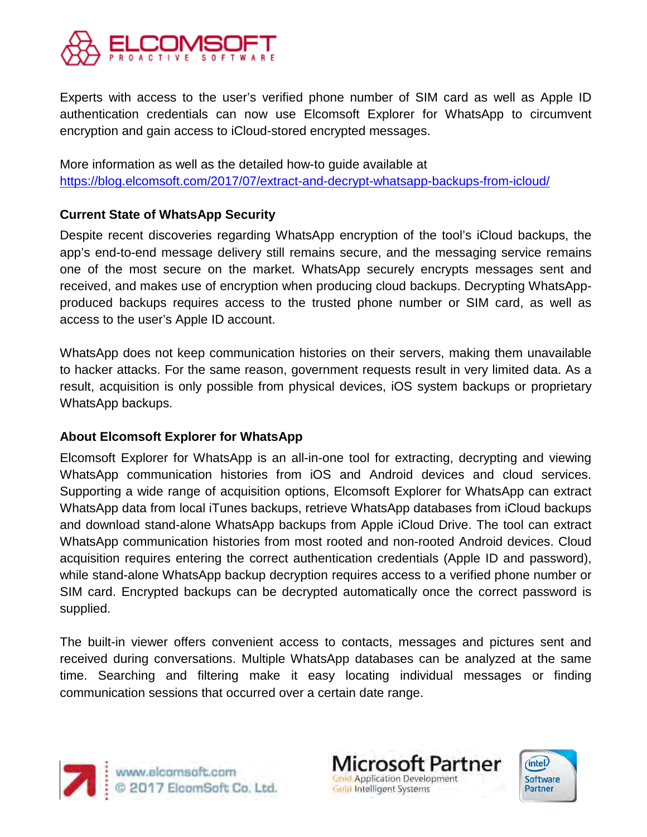

Experts with access to the user's verified phone number of SIM card as well as Apple ID authentication credentials can now use Elcomsoft Explorer for WhatsApp to circumvent encryption and gain access to iCloud-stored encrypted messages.

More information as well as the detailed how-to guide available at <https://blog.elcomsoft.com/2017/07/extract-and-decrypt-whatsapp-backups-from-icloud/>

# **Current State of WhatsApp Security**

Despite recent discoveries regarding WhatsApp encryption of the tool's iCloud backups, the app's end-to-end message delivery still remains secure, and the messaging service remains one of the most secure on the market. WhatsApp securely encrypts messages sent and received, and makes use of encryption when producing cloud backups. Decrypting WhatsAppproduced backups requires access to the trusted phone number or SIM card, as well as access to the user's Apple ID account.

WhatsApp does not keep communication histories on their servers, making them unavailable to hacker attacks. For the same reason, government requests result in very limited data. As a result, acquisition is only possible from physical devices, iOS system backups or proprietary WhatsApp backups.

#### **About Elcomsoft Explorer for WhatsApp**

Elcomsoft Explorer for WhatsApp is an all-in-one tool for extracting, decrypting and viewing WhatsApp communication histories from iOS and Android devices and cloud services. Supporting a wide range of acquisition options, Elcomsoft Explorer for WhatsApp can extract WhatsApp data from local iTunes backups, retrieve WhatsApp databases from iCloud backups and download stand-alone WhatsApp backups from Apple iCloud Drive. The tool can extract WhatsApp communication histories from most rooted and non-rooted Android devices. Cloud acquisition requires entering the correct authentication credentials (Apple ID and password), while stand-alone WhatsApp backup decryption requires access to a verified phone number or SIM card. Encrypted backups can be decrypted automatically once the correct password is supplied.

The built-in viewer offers convenient access to contacts, messages and pictures sent and received during conversations. Multiple WhatsApp databases can be analyzed at the same time. Searching and filtering make it easy locating individual messages or finding communication sessions that occurred over a certain date range.



Microsoft Partner **Gold Application Development Gold Intelligent Systems**